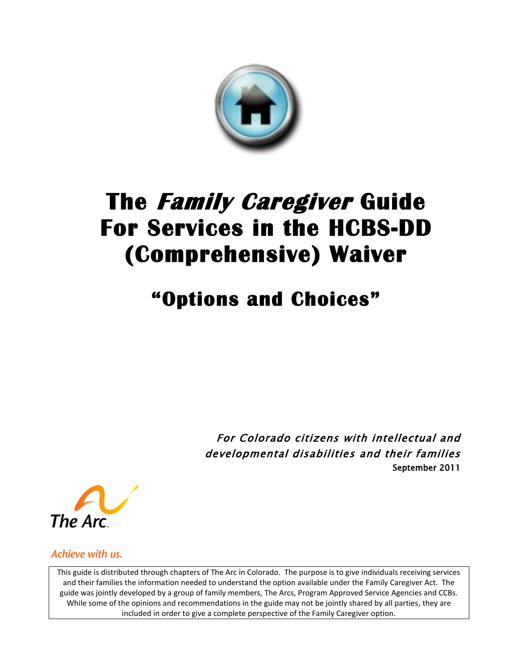

# **The Family Caregiver Guide For Services in the HCBS-DD (Comprehensive) Waiver**

## **"Options and Choices"**

For Colorado citizens with intellectual and developmental disabilities and their families September 2011



Achieve with us.

This guide is distributed through chapters of The Arc in Colorado. The purpose is to give individuals receiving services and their families the information needed to understand the option available under the Family Caregiver Act. The guide was jointly developed by a group of family members, The Arcs, Program Approved Service Agencies and CCBs. While some of the opinions and recommendations in the guide may not be jointly shared by all parties, they are included in order to give a complete perspective of the Family Caregiver option.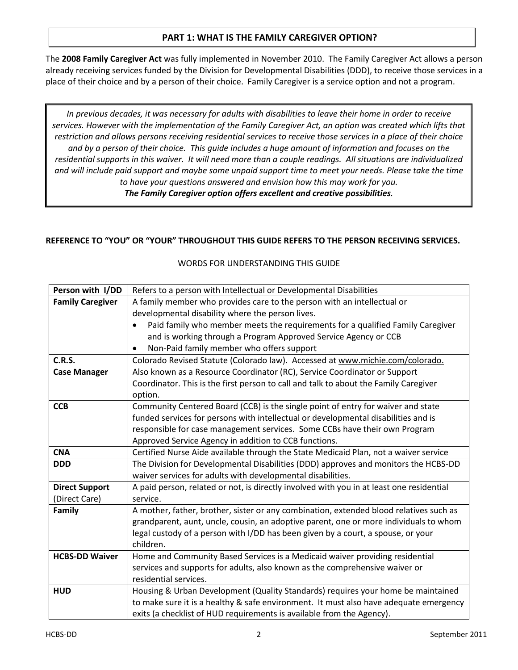## **PART 1: WHAT IS THE FAMILY CAREGIVER OPTION?**

The **2008 Family Caregiver Act** was fully implemented in November 2010. The Family Caregiver Act allows a person already receiving services funded by the Division for Developmental Disabilities (DDD), to receive those services in a place of their choice and by a person of their choice. Family Caregiver is a service option and not a program.

*In previous decades, it was necessary for adults with disabilities to leave their home in order to receive services. However with the implementation of the Family Caregiver Act, an option was created which lifts that restriction and allows persons receiving residential services to receive those services in a place of their choice and by a person of their choice. This guide includes a huge amount of information and focuses on the residential supports in this waiver. It will need more than a couple readings. All situations are individualized and will include paid support and maybe some unpaid support time to meet your needs. Please take the time to have your questions answered and envision how this may work for you. The Family Caregiver option offers excellent and creative possibilities.*

## **REFERENCE TO "YOU" OR "YOUR" THROUGHOUT THIS GUIDE REFERS TO THE PERSON RECEIVING SERVICES.**

| Person with I/DD        | Refers to a person with Intellectual or Developmental Disabilities                       |  |  |  |  |
|-------------------------|------------------------------------------------------------------------------------------|--|--|--|--|
| <b>Family Caregiver</b> | A family member who provides care to the person with an intellectual or                  |  |  |  |  |
|                         | developmental disability where the person lives.                                         |  |  |  |  |
|                         | Paid family who member meets the requirements for a qualified Family Caregiver           |  |  |  |  |
|                         | and is working through a Program Approved Service Agency or CCB                          |  |  |  |  |
|                         | Non-Paid family member who offers support<br>$\bullet$                                   |  |  |  |  |
| <b>C.R.S.</b>           | Colorado Revised Statute (Colorado law). Accessed at www.michie.com/colorado.            |  |  |  |  |
| <b>Case Manager</b>     | Also known as a Resource Coordinator (RC), Service Coordinator or Support                |  |  |  |  |
|                         | Coordinator. This is the first person to call and talk to about the Family Caregiver     |  |  |  |  |
|                         | option.                                                                                  |  |  |  |  |
| <b>CCB</b>              | Community Centered Board (CCB) is the single point of entry for waiver and state         |  |  |  |  |
|                         | funded services for persons with intellectual or developmental disabilities and is       |  |  |  |  |
|                         | responsible for case management services. Some CCBs have their own Program               |  |  |  |  |
|                         | Approved Service Agency in addition to CCB functions.                                    |  |  |  |  |
| <b>CNA</b>              | Certified Nurse Aide available through the State Medicaid Plan, not a waiver service     |  |  |  |  |
| <b>DDD</b>              | The Division for Developmental Disabilities (DDD) approves and monitors the HCBS-DD      |  |  |  |  |
|                         | waiver services for adults with developmental disabilities.                              |  |  |  |  |
| <b>Direct Support</b>   | A paid person, related or not, is directly involved with you in at least one residential |  |  |  |  |
| (Direct Care)           | service.                                                                                 |  |  |  |  |
| Family                  | A mother, father, brother, sister or any combination, extended blood relatives such as   |  |  |  |  |
|                         | grandparent, aunt, uncle, cousin, an adoptive parent, one or more individuals to whom    |  |  |  |  |
|                         | legal custody of a person with I/DD has been given by a court, a spouse, or your         |  |  |  |  |
|                         | children.                                                                                |  |  |  |  |
| <b>HCBS-DD Waiver</b>   | Home and Community Based Services is a Medicaid waiver providing residential             |  |  |  |  |
|                         | services and supports for adults, also known as the comprehensive waiver or              |  |  |  |  |
|                         | residential services.                                                                    |  |  |  |  |
| <b>HUD</b>              | Housing & Urban Development (Quality Standards) requires your home be maintained         |  |  |  |  |
|                         | to make sure it is a healthy & safe environment. It must also have adequate emergency    |  |  |  |  |
|                         | exits (a checklist of HUD requirements is available from the Agency).                    |  |  |  |  |

#### WORDS FOR UNDERSTANDING THIS GUIDE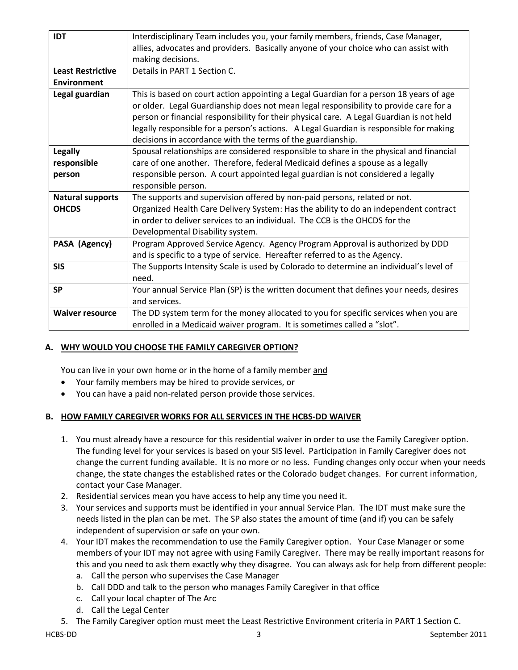| <b>IDT</b>               | Interdisciplinary Team includes you, your family members, friends, Case Manager,         |  |  |  |  |
|--------------------------|------------------------------------------------------------------------------------------|--|--|--|--|
|                          | allies, advocates and providers. Basically anyone of your choice who can assist with     |  |  |  |  |
|                          | making decisions.                                                                        |  |  |  |  |
| <b>Least Restrictive</b> | Details in PART 1 Section C.                                                             |  |  |  |  |
| <b>Environment</b>       |                                                                                          |  |  |  |  |
| Legal guardian           | This is based on court action appointing a Legal Guardian for a person 18 years of age   |  |  |  |  |
|                          | or older. Legal Guardianship does not mean legal responsibility to provide care for a    |  |  |  |  |
|                          | person or financial responsibility for their physical care. A Legal Guardian is not held |  |  |  |  |
|                          | legally responsible for a person's actions. A Legal Guardian is responsible for making   |  |  |  |  |
|                          | decisions in accordance with the terms of the guardianship.                              |  |  |  |  |
| <b>Legally</b>           | Spousal relationships are considered responsible to share in the physical and financial  |  |  |  |  |
| responsible              | care of one another. Therefore, federal Medicaid defines a spouse as a legally           |  |  |  |  |
| person                   | responsible person. A court appointed legal guardian is not considered a legally         |  |  |  |  |
|                          | responsible person.                                                                      |  |  |  |  |
| <b>Natural supports</b>  | The supports and supervision offered by non-paid persons, related or not.                |  |  |  |  |
| <b>OHCDS</b>             | Organized Health Care Delivery System: Has the ability to do an independent contract     |  |  |  |  |
|                          | in order to deliver services to an individual. The CCB is the OHCDS for the              |  |  |  |  |
|                          | Developmental Disability system.                                                         |  |  |  |  |
| PASA (Agency)            | Program Approved Service Agency. Agency Program Approval is authorized by DDD            |  |  |  |  |
|                          | and is specific to a type of service. Hereafter referred to as the Agency.               |  |  |  |  |
| <b>SIS</b>               | The Supports Intensity Scale is used by Colorado to determine an individual's level of   |  |  |  |  |
|                          | need.                                                                                    |  |  |  |  |
| <b>SP</b>                | Your annual Service Plan (SP) is the written document that defines your needs, desires   |  |  |  |  |
|                          | and services.                                                                            |  |  |  |  |
| <b>Waiver resource</b>   | The DD system term for the money allocated to you for specific services when you are     |  |  |  |  |
|                          | enrolled in a Medicaid waiver program. It is sometimes called a "slot".                  |  |  |  |  |

## **A. WHY WOULD YOU CHOOSE THE FAMILY CAREGIVER OPTION?**

You can live in your own home or in the home of a family member and

- Your family members may be hired to provide services, or
- You can have a paid non-related person provide those services.

## **B. HOW FAMILY CAREGIVER WORKS FOR ALL SERVICES IN THE HCBS-DD WAIVER**

- 1. You must already have a resource for this residential waiver in order to use the Family Caregiver option. The funding level for your services is based on your SIS level. Participation in Family Caregiver does not change the current funding available. It is no more or no less. Funding changes only occur when your needs change, the state changes the established rates or the Colorado budget changes. For current information, contact your Case Manager.
- 2. Residential services mean you have access to help any time you need it.
- 3. Your services and supports must be identified in your annual Service Plan. The IDT must make sure the needs listed in the plan can be met. The SP also states the amount of time (and if) you can be safely independent of supervision or safe on your own.
- 4. Your IDT makes the recommendation to use the Family Caregiver option. Your Case Manager or some members of your IDT may not agree with using Family Caregiver. There may be really important reasons for this and you need to ask them exactly why they disagree. You can always ask for help from different people:
	- a. Call the person who supervises the Case Manager
	- b. Call DDD and talk to the person who manages Family Caregiver in that office
	- c. Call your local chapter of The Arc
	- d. Call the Legal Center
- 5. The Family Caregiver option must meet the Least Restrictive Environment criteria in PART 1 Section C.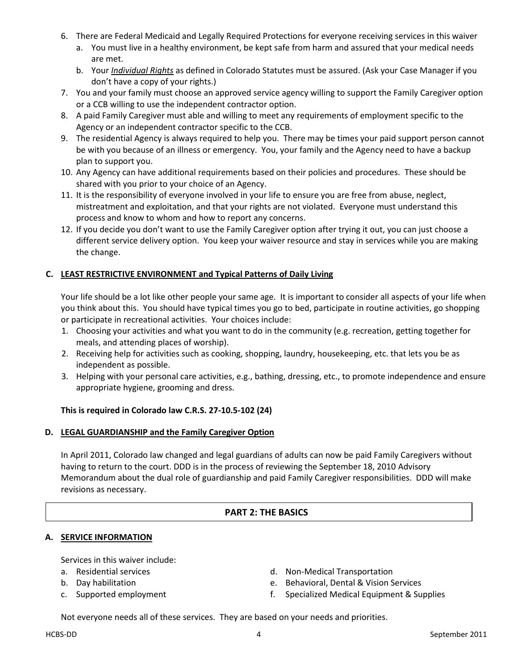- 6. There are Federal Medicaid and Legally Required Protections for everyone receiving services in this waiver
	- a. You must live in a healthy environment, be kept safe from harm and assured that your medical needs are met.
	- b. Your *Individual Rights* as defined in Colorado Statutes must be assured. (Ask your Case Manager if you don't have a copy of your rights.)
- 7. You and your family must choose an approved service agency willing to support the Family Caregiver option or a CCB willing to use the independent contractor option.
- 8. A paid Family Caregiver must able and willing to meet any requirements of employment specific to the Agency or an independent contractor specific to the CCB.
- 9. The residential Agency is always required to help you. There may be times your paid support person cannot be with you because of an illness or emergency. You, your family and the Agency need to have a backup plan to support you.
- 10. Any Agency can have additional requirements based on their policies and procedures. These should be shared with you prior to your choice of an Agency.
- 11. It is the responsibility of everyone involved in your life to ensure you are free from abuse, neglect, mistreatment and exploitation, and that your rights are not violated. Everyone must understand this process and know to whom and how to report any concerns.
- 12. If you decide you don't want to use the Family Caregiver option after trying it out, you can just choose a different service delivery option. You keep your waiver resource and stay in services while you are making the change.

## **C. LEAST RESTRICTIVE ENVIRONMENT and Typical Patterns of Daily Living**

Your life should be a lot like other people your same age. It is important to consider all aspects of your life when you think about this. You should have typical times you go to bed, participate in routine activities, go shopping or participate in recreational activities. Your choices include:

- 1. Choosing your activities and what you want to do in the community (e.g. recreation, getting together for meals, and attending places of worship).
- 2. Receiving help for activities such as cooking, shopping, laundry, housekeeping, etc. that lets you be as independent as possible.
- 3. Helping with your personal care activities, e.g., bathing, dressing, etc., to promote independence and ensure appropriate hygiene, grooming and dress.

## **This is required in Colorado law C.R.S. 27-10.5-102 (24)**

#### **D. LEGAL GUARDIANSHIP and the Family Caregiver Option**

In April 2011, Colorado law changed and legal guardians of adults can now be paid Family Caregivers without having to return to the court. DDD is in the process of reviewing the September 18, 2010 Advisory Memorandum about the dual role of guardianship and paid Family Caregiver responsibilities. DDD will make revisions as necessary.

## **PART 2: THE BASICS**

## **A. SERVICE INFORMATION**

Services in this waiver include:

- a. Residential services
- b. Day habilitation
- c. Supported employment
- d. Non-Medical Transportation
- e. Behavioral, Dental & Vision Services
- f. Specialized Medical Equipment & Supplies

Not everyone needs all of these services. They are based on your needs and priorities.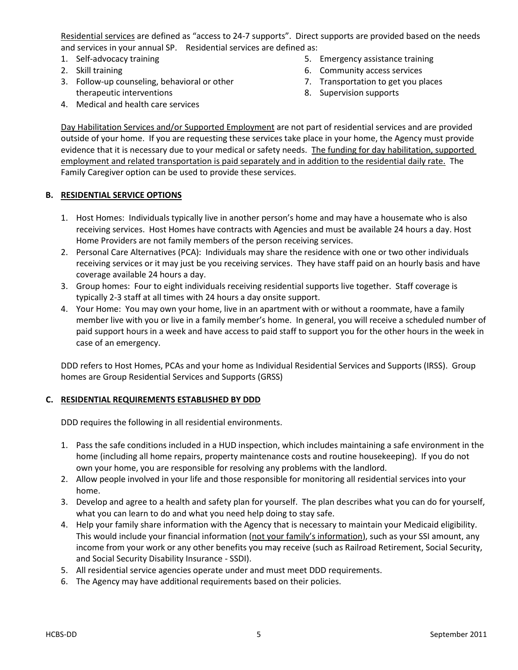Residential services are defined as "access to 24-7 supports". Direct supports are provided based on the needs and services in your annual SP. Residential services are defined as:

- 1. Self-advocacy training
- 2. Skill training
- 3. Follow-up counseling, behavioral or other therapeutic interventions
- 5. Emergency assistance training
- 6. Community access services
- 7. Transportation to get you places
- 8. Supervision supports

4. Medical and health care services

Day Habilitation Services and/or Supported Employment are not part of residential services and are provided outside of your home. If you are requesting these services take place in your home, the Agency must provide evidence that it is necessary due to your medical or safety needs. The funding for day habilitation, supported employment and related transportation is paid separately and in addition to the residential daily rate. The Family Caregiver option can be used to provide these services.

#### **B. RESIDENTIAL SERVICE OPTIONS**

- 1. Host Homes: Individuals typically live in another person's home and may have a housemate who is also receiving services. Host Homes have contracts with Agencies and must be available 24 hours a day. Host Home Providers are not family members of the person receiving services.
- 2. Personal Care Alternatives (PCA): Individuals may share the residence with one or two other individuals receiving services or it may just be you receiving services. They have staff paid on an hourly basis and have coverage available 24 hours a day.
- 3. Group homes: Four to eight individuals receiving residential supports live together. Staff coverage is typically 2-3 staff at all times with 24 hours a day onsite support.
- 4. Your Home: You may own your home, live in an apartment with or without a roommate, have a family member live with you or live in a family member's home. In general, you will receive a scheduled number of paid support hours in a week and have access to paid staff to support you for the other hours in the week in case of an emergency.

DDD refers to Host Homes, PCAs and your home as Individual Residential Services and Supports (IRSS). Group homes are Group Residential Services and Supports (GRSS)

#### **C. RESIDENTIAL REQUIREMENTS ESTABLISHED BY DDD**

DDD requires the following in all residential environments.

- 1. Pass the safe conditions included in a HUD inspection, which includes maintaining a safe environment in the home (including all home repairs, property maintenance costs and routine housekeeping). If you do not own your home, you are responsible for resolving any problems with the landlord.
- 2. Allow people involved in your life and those responsible for monitoring all residential services into your home.
- 3. Develop and agree to a health and safety plan for yourself. The plan describes what you can do for yourself, what you can learn to do and what you need help doing to stay safe.
- 4. Help your family share information with the Agency that is necessary to maintain your Medicaid eligibility. This would include your financial information (not your family's information), such as your SSI amount, any income from your work or any other benefits you may receive (such as Railroad Retirement, Social Security, and Social Security Disability Insurance - SSDI).
- 5. All residential service agencies operate under and must meet DDD requirements.
- 6. The Agency may have additional requirements based on their policies.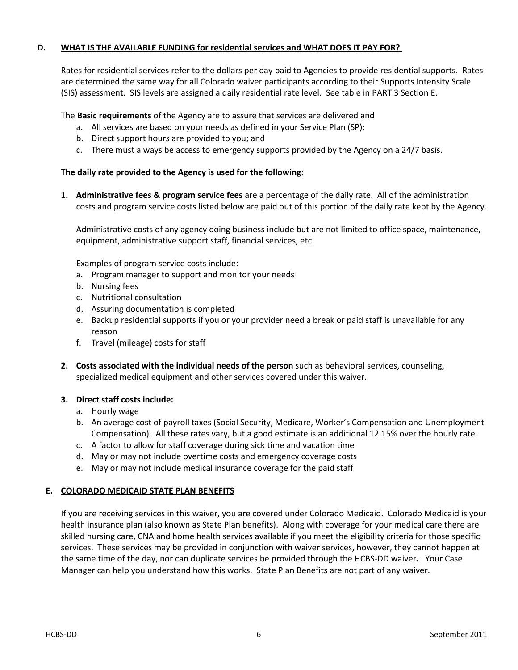#### **D. WHAT IS THE AVAILABLE FUNDING for residential services and WHAT DOES IT PAY FOR?**

Rates for residential services refer to the dollars per day paid to Agencies to provide residential supports. Rates are determined the same way for all Colorado waiver participants according to their Supports Intensity Scale (SIS) assessment. SIS levels are assigned a daily residential rate level. See table in PART 3 Section E.

The **Basic requirements** of the Agency are to assure that services are delivered and

- a. All services are based on your needs as defined in your Service Plan (SP);
- b. Direct support hours are provided to you; and
- c. There must always be access to emergency supports provided by the Agency on a 24/7 basis.

#### **The daily rate provided to the Agency is used for the following:**

**1. Administrative fees & program service fees** are a percentage of the daily rate. All of the administration costs and program service costs listed below are paid out of this portion of the daily rate kept by the Agency.

Administrative costs of any agency doing business include but are not limited to office space, maintenance, equipment, administrative support staff, financial services, etc.

Examples of program service costs include:

- a. Program manager to support and monitor your needs
- b. Nursing fees
- c. Nutritional consultation
- d. Assuring documentation is completed
- e. Backup residential supports if you or your provider need a break or paid staff is unavailable for any reason
- f. Travel (mileage) costs for staff
- **2. Costs associated with the individual needs of the person** such as behavioral services, counseling, specialized medical equipment and other services covered under this waiver.

#### **3. Direct staff costs include:**

- a. Hourly wage
- b. An average cost of payroll taxes (Social Security, Medicare, Worker's Compensation and Unemployment Compensation). All these rates vary, but a good estimate is an additional 12.15% over the hourly rate.
- c. A factor to allow for staff coverage during sick time and vacation time
- d. May or may not include overtime costs and emergency coverage costs
- e. May or may not include medical insurance coverage for the paid staff

#### **E. COLORADO MEDICAID STATE PLAN BENEFITS**

If you are receiving services in this waiver, you are covered under Colorado Medicaid. Colorado Medicaid is your health insurance plan (also known as State Plan benefits). Along with coverage for your medical care there are skilled nursing care, CNA and home health services available if you meet the eligibility criteria for those specific services. These services may be provided in conjunction with waiver services, however, they cannot happen at the same time of the day, nor can duplicate services be provided through the HCBS-DD waiver**.** Your Case Manager can help you understand how this works. State Plan Benefits are not part of any waiver.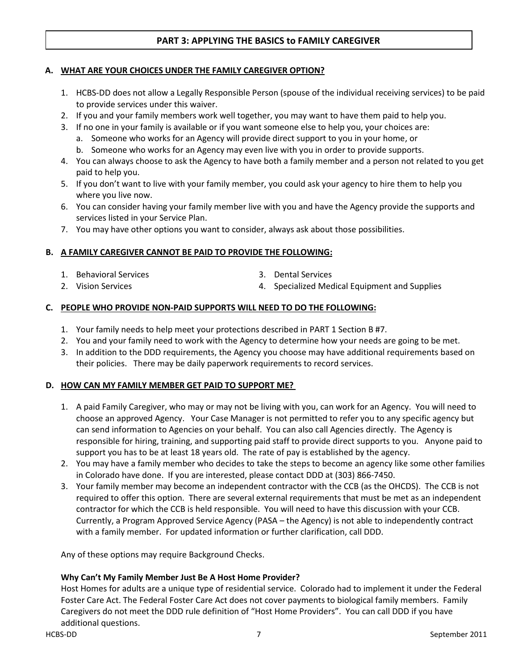## **PART 3: APPLYING THE BASICS to FAMILY CAREGIVER**

#### **A. WHAT ARE YOUR CHOICES UNDER THE FAMILY CAREGIVER OPTION?**

- 1. HCBS-DD does not allow a Legally Responsible Person (spouse of the individual receiving services) to be paid to provide services under this waiver.
- 2. If you and your family members work well together, you may want to have them paid to help you.
- 3. If no one in your family is available or if you want someone else to help you, your choices are:
	- a. Someone who works for an Agency will provide direct support to you in your home, or
	- b. Someone who works for an Agency may even live with you in order to provide supports.
- 4. You can always choose to ask the Agency to have both a family member and a person not related to you get paid to help you.
- 5. If you don't want to live with your family member, you could ask your agency to hire them to help you where you live now.
- 6. You can consider having your family member live with you and have the Agency provide the supports and services listed in your Service Plan.
- 7. You may have other options you want to consider, always ask about those possibilities.

#### **B. A FAMILY CAREGIVER CANNOT BE PAID TO PROVIDE THE FOLLOWING:**

1. Behavioral Services

2. Vision Services

- 3. Dental Services
- 4. Specialized Medical Equipment and Supplies

#### **C. PEOPLE WHO PROVIDE NON-PAID SUPPORTS WILL NEED TO DO THE FOLLOWING:**

- 1. Your family needs to help meet your protections described in PART 1 Section B #7.
- 2. You and your family need to work with the Agency to determine how your needs are going to be met.
- 3. In addition to the DDD requirements, the Agency you choose may have additional requirements based on their policies. There may be daily paperwork requirements to record services.

#### **D. HOW CAN MY FAMILY MEMBER GET PAID TO SUPPORT ME?**

- 1. A paid Family Caregiver, who may or may not be living with you, can work for an Agency. You will need to choose an approved Agency. Your Case Manager is not permitted to refer you to any specific agency but can send information to Agencies on your behalf. You can also call Agencies directly. The Agency is responsible for hiring, training, and supporting paid staff to provide direct supports to you. Anyone paid to support you has to be at least 18 years old. The rate of pay is established by the agency.
- 2. You may have a family member who decides to take the steps to become an agency like some other families in Colorado have done. If you are interested, please contact DDD at (303) 866-7450.
- 3. Your family member may become an independent contractor with the CCB (as the OHCDS). The CCB is not required to offer this option. There are several external requirements that must be met as an independent contractor for which the CCB is held responsible. You will need to have this discussion with your CCB. Currently, a Program Approved Service Agency (PASA – the Agency) is not able to independently contract with a family member. For updated information or further clarification, call DDD.

Any of these options may require Background Checks.

#### **Why Can't My Family Member Just Be A Host Home Provider?**

Host Homes for adults are a unique type of residential service. Colorado had to implement it under the Federal Foster Care Act. The Federal Foster Care Act does not cover payments to biological family members. Family Caregivers do not meet the DDD rule definition of "Host Home Providers". You can call DDD if you have additional questions.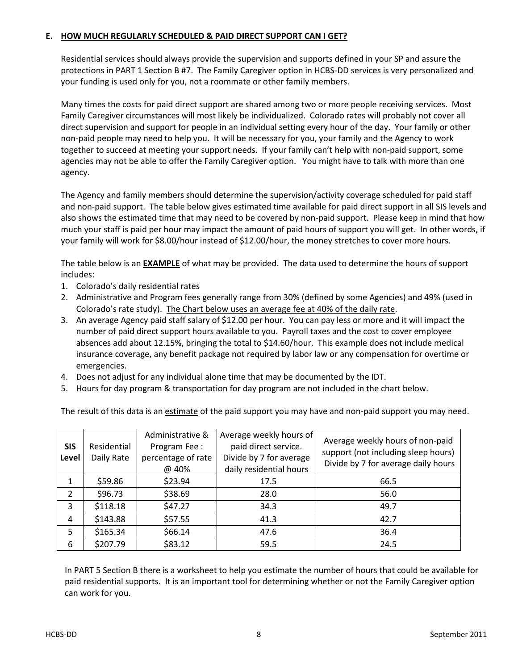## **E. HOW MUCH REGULARLY SCHEDULED & PAID DIRECT SUPPORT CAN I GET?**

Residential services should always provide the supervision and supports defined in your SP and assure the protections in PART 1 Section B #7. The Family Caregiver option in HCBS-DD services is very personalized and your funding is used only for you, not a roommate or other family members.

Many times the costs for paid direct support are shared among two or more people receiving services. Most Family Caregiver circumstances will most likely be individualized. Colorado rates will probably not cover all direct supervision and support for people in an individual setting every hour of the day. Your family or other non-paid people may need to help you. It will be necessary for you, your family and the Agency to work together to succeed at meeting your support needs. If your family can't help with non-paid support, some agencies may not be able to offer the Family Caregiver option. You might have to talk with more than one agency.

The Agency and family members should determine the supervision/activity coverage scheduled for paid staff and non-paid support. The table below gives estimated time available for paid direct support in all SIS levels and also shows the estimated time that may need to be covered by non-paid support. Please keep in mind that how much your staff is paid per hour may impact the amount of paid hours of support you will get. In other words, if your family will work for \$8.00/hour instead of \$12.00/hour, the money stretches to cover more hours.

The table below is an **EXAMPLE** of what may be provided. The data used to determine the hours of support includes:

- 1. Colorado's daily residential rates
- 2. Administrative and Program fees generally range from 30% (defined by some Agencies) and 49% (used in Colorado's rate study). The Chart below uses an average fee at 40% of the daily rate.
- 3. An average Agency paid staff salary of \$12.00 per hour. You can pay less or more and it will impact the number of paid direct support hours available to you. Payroll taxes and the cost to cover employee absences add about 12.15%, bringing the total to \$14.60/hour. This example does not include medical insurance coverage, any benefit package not required by labor law or any compensation for overtime or emergencies.
- 4. Does not adjust for any individual alone time that may be documented by the IDT.
- 5. Hours for day program & transportation for day program are not included in the chart below.

The result of this data is an estimate of the paid support you may have and non-paid support you may need.

| <b>SIS</b><br>Level | Residential<br>Daily Rate | Administrative &<br>Program Fee:<br>percentage of rate<br>@ 40% | Average weekly hours of<br>paid direct service.<br>Divide by 7 for average<br>daily residential hours | Average weekly hours of non-paid<br>support (not including sleep hours)<br>Divide by 7 for average daily hours |
|---------------------|---------------------------|-----------------------------------------------------------------|-------------------------------------------------------------------------------------------------------|----------------------------------------------------------------------------------------------------------------|
| 1                   | \$59.86                   | \$23.94                                                         | 17.5                                                                                                  | 66.5                                                                                                           |
| 2                   | \$96.73                   | \$38.69                                                         | 28.0                                                                                                  | 56.0                                                                                                           |
| 3                   | \$118.18                  | \$47.27                                                         | 34.3                                                                                                  | 49.7                                                                                                           |
| 4                   | \$143.88                  | \$57.55                                                         | 41.3                                                                                                  | 42.7                                                                                                           |
| 5                   | \$165.34                  | \$66.14                                                         | 47.6                                                                                                  | 36.4                                                                                                           |
| 6                   | \$207.79                  | \$83.12                                                         | 59.5                                                                                                  | 24.5                                                                                                           |

In PART 5 Section B there is a worksheet to help you estimate the number of hours that could be available for paid residential supports. It is an important tool for determining whether or not the Family Caregiver option can work for you.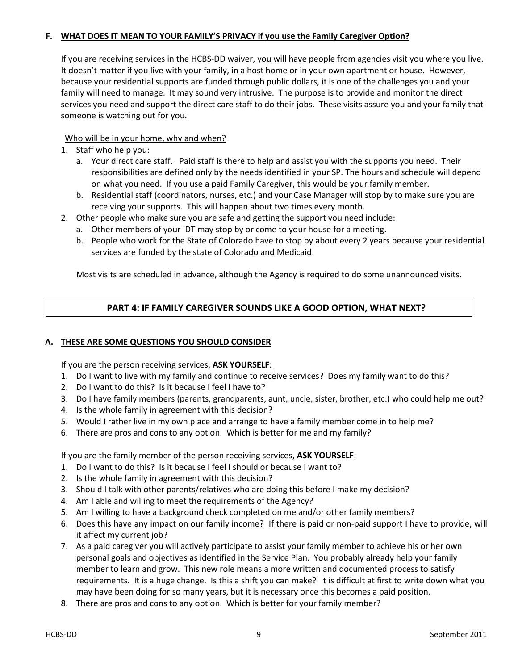## **F. WHAT DOES IT MEAN TO YOUR FAMILY'S PRIVACY if you use the Family Caregiver Option?**

If you are receiving services in the HCBS-DD waiver, you will have people from agencies visit you where you live. It doesn't matter if you live with your family, in a host home or in your own apartment or house. However, because your residential supports are funded through public dollars, it is one of the challenges you and your family will need to manage. It may sound very intrusive. The purpose is to provide and monitor the direct services you need and support the direct care staff to do their jobs. These visits assure you and your family that someone is watching out for you.

## Who will be in your home, why and when?

- 1. Staff who help you:
	- a. Your direct care staff. Paid staff is there to help and assist you with the supports you need. Their responsibilities are defined only by the needs identified in your SP. The hours and schedule will depend on what you need. If you use a paid Family Caregiver, this would be your family member.
	- b. Residential staff (coordinators, nurses, etc.) and your Case Manager will stop by to make sure you are receiving your supports. This will happen about two times every month.
- 2. Other people who make sure you are safe and getting the support you need include:
	- a. Other members of your IDT may stop by or come to your house for a meeting.
	- b. People who work for the State of Colorado have to stop by about every 2 years because your residential services are funded by the state of Colorado and Medicaid.

Most visits are scheduled in advance, although the Agency is required to do some unannounced visits.

## **PART 4: IF FAMILY CAREGIVER SOUNDS LIKE A GOOD OPTION, WHAT NEXT?**

#### **A. THESE ARE SOME QUESTIONS YOU SHOULD CONSIDER**

#### If you are the person receiving services, **ASK YOURSELF**:

- 1. Do I want to live with my family and continue to receive services? Does my family want to do this?
- 2. Do I want to do this? Is it because I feel I have to?
- 3. Do I have family members (parents, grandparents, aunt, uncle, sister, brother, etc.) who could help me out?
- 4. Is the whole family in agreement with this decision?
- 5. Would I rather live in my own place and arrange to have a family member come in to help me?
- 6. There are pros and cons to any option. Which is better for me and my family?

## If you are the family member of the person receiving services, **ASK YOURSELF**:

- 1. Do I want to do this? Is it because I feel I should or because I want to?
- 2. Is the whole family in agreement with this decision?
- 3. Should I talk with other parents/relatives who are doing this before I make my decision?
- 4. Am I able and willing to meet the requirements of the Agency?
- 5. Am I willing to have a background check completed on me and/or other family members?
- 6. Does this have any impact on our family income? If there is paid or non-paid support I have to provide, will it affect my current job?
- 7. As a paid caregiver you will actively participate to assist your family member to achieve his or her own personal goals and objectives as identified in the Service Plan. You probably already help your family member to learn and grow. This new role means a more written and documented process to satisfy requirements. It is a huge change. Is this a shift you can make? It is difficult at first to write down what you may have been doing for so many years, but it is necessary once this becomes a paid position.
- 8. There are pros and cons to any option. Which is better for your family member?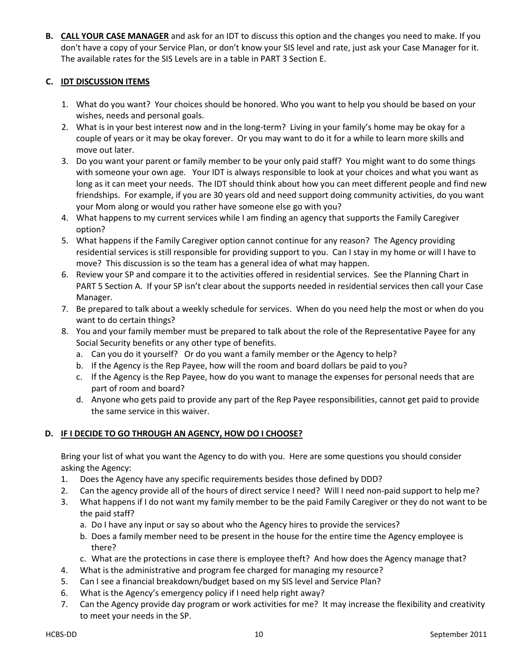**B. CALL YOUR CASE MANAGER** and ask for an IDT to discuss this option and the changes you need to make. If you don't have a copy of your Service Plan, or don't know your SIS level and rate, just ask your Case Manager for it. The available rates for the SIS Levels are in a table in PART 3 Section E.

## **C. IDT DISCUSSION ITEMS**

- 1. What do you want? Your choices should be honored. Who you want to help you should be based on your wishes, needs and personal goals.
- 2. What is in your best interest now and in the long-term? Living in your family's home may be okay for a couple of years or it may be okay forever. Or you may want to do it for a while to learn more skills and move out later.
- 3. Do you want your parent or family member to be your only paid staff? You might want to do some things with someone your own age. Your IDT is always responsible to look at your choices and what you want as long as it can meet your needs. The IDT should think about how you can meet different people and find new friendships. For example, if you are 30 years old and need support doing community activities, do you want your Mom along or would you rather have someone else go with you?
- 4. What happens to my current services while I am finding an agency that supports the Family Caregiver option?
- 5. What happens if the Family Caregiver option cannot continue for any reason? The Agency providing residential services is still responsible for providing support to you. Can I stay in my home or will I have to move? This discussion is so the team has a general idea of what may happen.
- 6. Review your SP and compare it to the activities offered in residential services. See the Planning Chart in PART 5 Section A. If your SP isn't clear about the supports needed in residential services then call your Case Manager.
- 7. Be prepared to talk about a weekly schedule for services. When do you need help the most or when do you want to do certain things?
- 8. You and your family member must be prepared to talk about the role of the Representative Payee for any Social Security benefits or any other type of benefits.
	- a. Can you do it yourself? Or do you want a family member or the Agency to help?
	- b. If the Agency is the Rep Payee, how will the room and board dollars be paid to you?
	- c. If the Agency is the Rep Payee, how do you want to manage the expenses for personal needs that are part of room and board?
	- d. Anyone who gets paid to provide any part of the Rep Payee responsibilities, cannot get paid to provide the same service in this waiver.

#### **D. IF I DECIDE TO GO THROUGH AN AGENCY, HOW DO I CHOOSE?**

Bring your list of what you want the Agency to do with you. Here are some questions you should consider asking the Agency:

- 1. Does the Agency have any specific requirements besides those defined by DDD?
- 2. Can the agency provide all of the hours of direct service I need? Will I need non-paid support to help me?
- 3. What happens if I do not want my family member to be the paid Family Caregiver or they do not want to be the paid staff?
	- a. Do I have any input or say so about who the Agency hires to provide the services?
	- b. Does a family member need to be present in the house for the entire time the Agency employee is there?
	- c. What are the protections in case there is employee theft? And how does the Agency manage that?
- 4. What is the administrative and program fee charged for managing my resource?
- 5. Can I see a financial breakdown/budget based on my SIS level and Service Plan?
- 6. What is the Agency's emergency policy if I need help right away?
- 7. Can the Agency provide day program or work activities for me? It may increase the flexibility and creativity to meet your needs in the SP.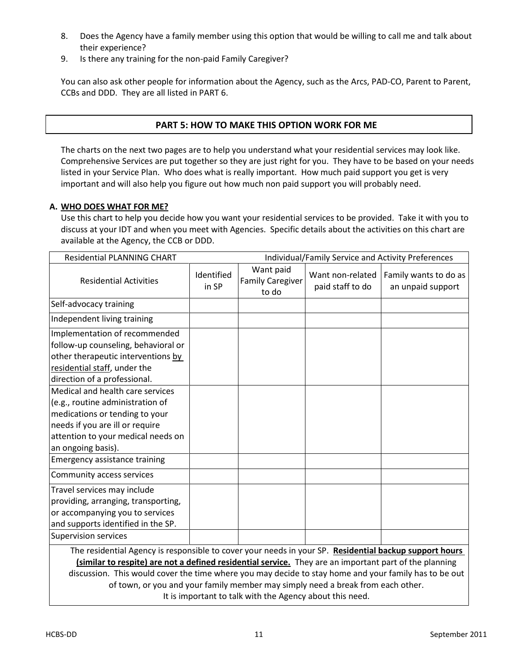- 8. Does the Agency have a family member using this option that would be willing to call me and talk about their experience?
- 9. Is there any training for the non-paid Family Caregiver?

You can also ask other people for information about the Agency, such as the Arcs, PAD-CO, Parent to Parent, CCBs and DDD. They are all listed in PART 6.

## **PART 5: HOW TO MAKE THIS OPTION WORK FOR ME**

The charts on the next two pages are to help you understand what your residential services may look like. Comprehensive Services are put together so they are just right for you. They have to be based on your needs listed in your Service Plan. Who does what is really important. How much paid support you get is very important and will also help you figure out how much non paid support you will probably need.

## **A. WHO DOES WHAT FOR ME?**

Use this chart to help you decide how you want your residential services to be provided. Take it with you to discuss at your IDT and when you meet with Agencies. Specific details about the activities on this chart are available at the Agency, the CCB or DDD.

| <b>Residential PLANNING CHART</b>                                                                                                                                                                                                                                                                                         |                     | Individual/Family Service and Activity Preferences |                                      |                                            |  |
|---------------------------------------------------------------------------------------------------------------------------------------------------------------------------------------------------------------------------------------------------------------------------------------------------------------------------|---------------------|----------------------------------------------------|--------------------------------------|--------------------------------------------|--|
| <b>Residential Activities</b>                                                                                                                                                                                                                                                                                             | Identified<br>in SP | Want paid<br><b>Family Caregiver</b><br>to do      | Want non-related<br>paid staff to do | Family wants to do as<br>an unpaid support |  |
| Self-advocacy training                                                                                                                                                                                                                                                                                                    |                     |                                                    |                                      |                                            |  |
| Independent living training                                                                                                                                                                                                                                                                                               |                     |                                                    |                                      |                                            |  |
| Implementation of recommended<br>follow-up counseling, behavioral or<br>other therapeutic interventions by<br>residential staff, under the<br>direction of a professional.                                                                                                                                                |                     |                                                    |                                      |                                            |  |
| Medical and health care services<br>(e.g., routine administration of<br>medications or tending to your<br>needs if you are ill or require<br>attention to your medical needs on<br>an ongoing basis).                                                                                                                     |                     |                                                    |                                      |                                            |  |
| <b>Emergency assistance training</b>                                                                                                                                                                                                                                                                                      |                     |                                                    |                                      |                                            |  |
| Community access services                                                                                                                                                                                                                                                                                                 |                     |                                                    |                                      |                                            |  |
| Travel services may include<br>providing, arranging, transporting,<br>or accompanying you to services<br>and supports identified in the SP.                                                                                                                                                                               |                     |                                                    |                                      |                                            |  |
| <b>Supervision services</b>                                                                                                                                                                                                                                                                                               |                     |                                                    |                                      |                                            |  |
| The residential Agency is responsible to cover your needs in your SP. Residential backup support hours<br>(similar to respite) are not a defined residential service. They are an important part of the planning<br>discussion. This would cover the time where you may decide to stay home and your family has to be out |                     |                                                    |                                      |                                            |  |

of town, or you and your family member may simply need a break from each other. It is important to talk with the Agency about this need.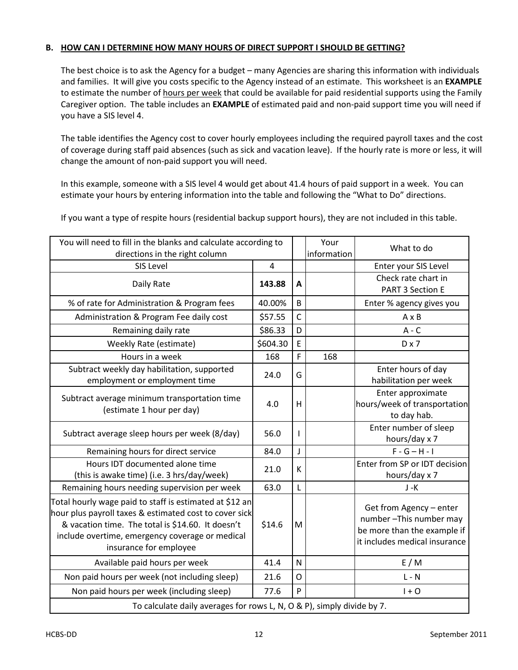### **B. HOW CAN I DETERMINE HOW MANY HOURS OF DIRECT SUPPORT I SHOULD BE GETTING?**

The best choice is to ask the Agency for a budget – many Agencies are sharing this information with individuals and families. It will give you costs specific to the Agency instead of an estimate. This worksheet is an **EXAMPLE** to estimate the number of hours per week that could be available for paid residential supports using the Family Caregiver option. The table includes an **EXAMPLE** of estimated paid and non-paid support time you will need if you have a SIS level 4.

The table identifies the Agency cost to cover hourly employees including the required payroll taxes and the cost of coverage during staff paid absences (such as sick and vacation leave). If the hourly rate is more or less, it will change the amount of non-paid support you will need.

In this example, someone with a SIS level 4 would get about 41.4 hours of paid support in a week. You can estimate your hours by entering information into the table and following the "What to Do" directions.

You will need to fill in the blanks and calculate according to directions in the right column Your information What to do SIS Level 2008 2012 12:00 12:00 12:00 12:00 12:00 12:00 12:00 12:00 12:00 12:00 12:00 12:00 12:00 12:00 12:00 1 Daily Rate **143.88 A** Check rate chart in PART 3 Section E % of rate for Administration & Program fees  $\begin{array}{|c|c|c|c|c|c|} \hline 40.00\% & B & \hline \end{array}$  Enter % agency gives you Administration & Program Fee daily cost  $\begin{bmatrix} 57.55 & C \end{bmatrix}$   $\begin{bmatrix} C & A \end{bmatrix}$  A x B Remaining daily rate \$86.33 D A - C Weekly Rate (estimate) \$604.30 E D x 7 Hours in a week  $\begin{array}{|c|c|c|c|c|c|c|c|c|} \hline \end{array}$  168 **F** | 168 Subtract weekly day habilitation, supported employment or employment time 24.0 G Enter hours of day habilitation per week Subtract average minimum transportation time  $\left\{\text{estimate 1 hour per day}\right\}$  4.0 H Enter approximate hours/week of transportation to day hab. Subtract average sleep hours per week  $(8/day)$  | 56.0 | I Enter number of sleep hours/day x 7 Remaining hours for direct service 84.0 J F - G – H - I Hours IDT documented alone time (this is awake time) (i.e. 3 hrs/day/week)  $21.0$  K Enter from SP or IDT decision hours/day x 7 Remaining hours needing supervision per week  $\begin{vmatrix} 63.0 & L \end{vmatrix}$ Total hourly wage paid to staff is estimated at \$12 an hour plus payroll taxes & estimated cost to cover sick & vacation time. The total is \$14.60. It doesn't include overtime, emergency coverage or medical insurance for employee  $$14.6$  M Get from Agency – enter number –This number may be more than the example if it includes medical insurance Available paid hours per week  $\begin{vmatrix} 41.4 & N \end{vmatrix}$  N  $\begin{vmatrix} 1 & 1 \end{vmatrix}$  E / M Non paid hours per week (not including sleep)  $\begin{bmatrix} 21.6 & 0 \end{bmatrix}$   $\begin{bmatrix} 0 & 1 \end{bmatrix}$   $\begin{bmatrix} 1 & 1 \end{bmatrix}$ Non paid hours per week (including sleep)  $\begin{bmatrix} 77.6 & |P| & | & | & | & +0 \end{bmatrix}$ To calculate daily averages for rows L, N, O & P), simply divide by 7.

If you want a type of respite hours (residential backup support hours), they are not included in this table.